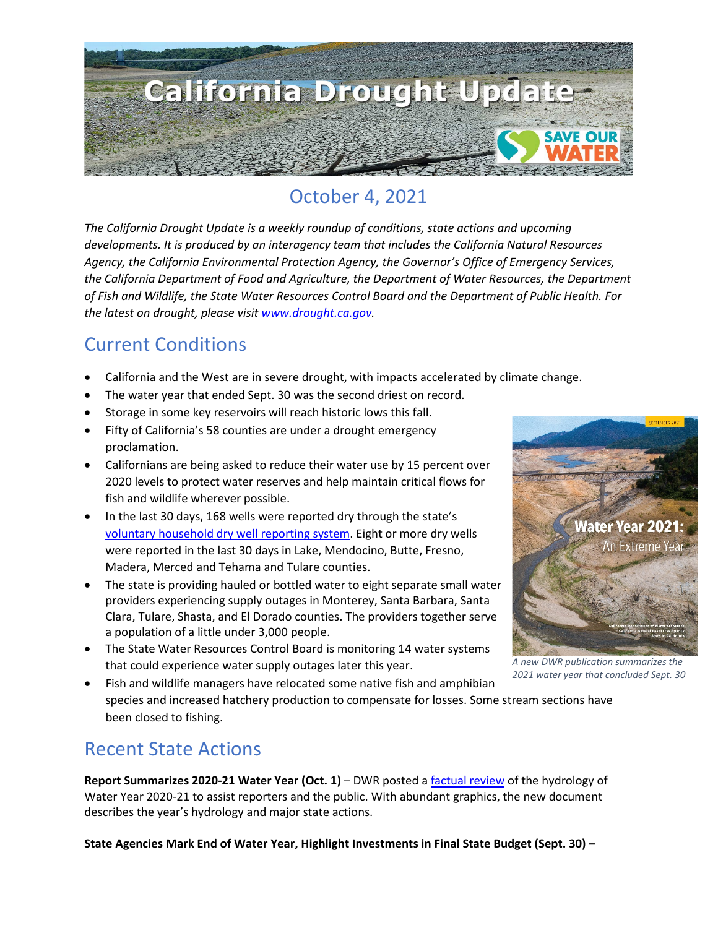

## October 4, 2021

*The California Drought Update is a weekly roundup of conditions, state actions and upcoming developments. It is produced by an interagency team that includes the California Natural Resources Agency, the California Environmental Protection Agency, the Governor's Office of Emergency Services, the California Department of Food and Agriculture, the Department of Water Resources, the Department of Fish and Wildlife, the State Water Resources Control Board and the Department of Public Health. For the latest on drought, please visit [www.drought.ca.gov.](http://www.drought.ca.gov/)* 

### Current Conditions

- California and the West are in severe drought, with impacts accelerated by climate change.
- The water year that ended Sept. 30 was the second driest on record.
- Storage in some key reservoirs will reach historic lows this fall.
- Fifty of California's 58 counties are under a drought emergency proclamation.
- Californians are being asked to reduce their water use by 15 percent over 2020 levels to protect water reserves and help maintain critical flows for fish and wildlife wherever possible.
- In the last 30 days, 168 wells were reported dry through the state's [voluntary household dry well reporting system.](https://mydrywell.water.ca.gov/report/) Eight or more dry wells were reported in the last 30 days in Lake, Mendocino, Butte, Fresno, Madera, Merced and Tehama and Tulare counties.
- The state is providing hauled or bottled water to eight separate small water providers experiencing supply outages in Monterey, Santa Barbara, Santa Clara, Tulare, Shasta, and El Dorado counties. The providers together serve a population of a little under 3,000 people.
- The State Water Resources Control Board is monitoring 14 water systems that could experience water supply outages later this year.



*A new DWR publication summarizes the 2021 water year that concluded Sept. 30*

• Fish and wildlife managers have relocated some native fish and amphibian species and increased hatchery production to compensate for losses. Some stream sections have been closed to fishing.

#### Recent State Actions

**Report Summarizes 2020-21 Water Year (Oct. 1)** – DWR posted [a factual review](https://water.ca.gov/-/media/DWR-Website/Web-Pages/Water-Basics/Drought/Files/Publications-And-Reports/091521-Water-Year-2021-broch_v2.pdf) of the hydrology of Water Year 2020-21 to assist reporters and the public. With abundant graphics, the new document describes the year's hydrology and major state actions.

**State Agencies Mark End of Water Year, Highlight Investments in Final State Budget (Sept. 30) –**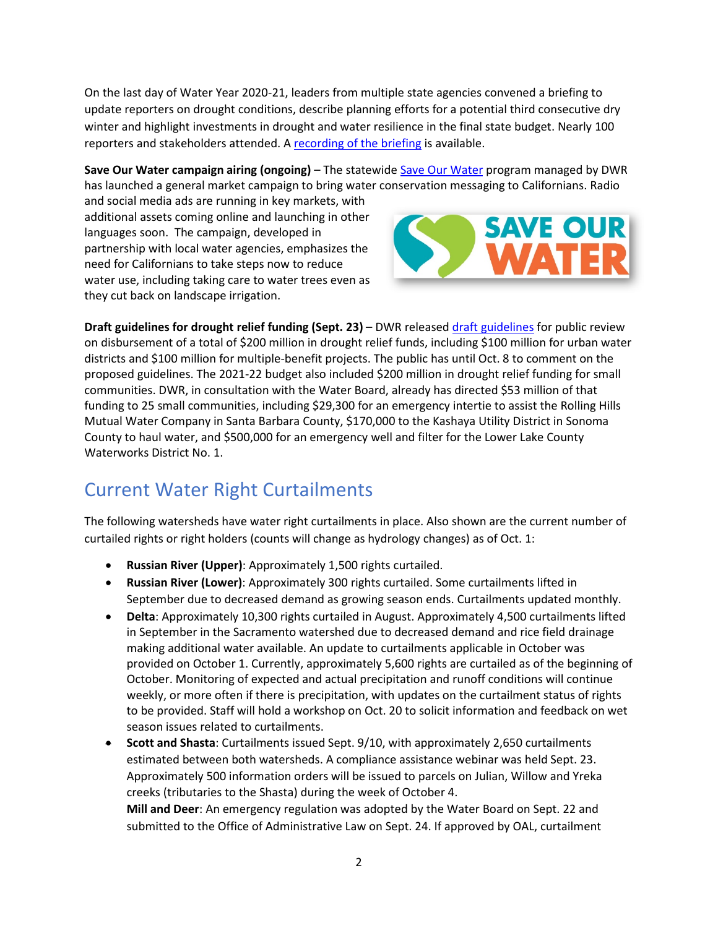On the last day of Water Year 2020-21, leaders from multiple state agencies convened a briefing to update reporters on drought conditions, describe planning efforts for a potential third consecutive dry winter and highlight investments in drought and water resilience in the final state budget. Nearly 100 reporters and stakeholders attended. [A recording of the briefing](https://www.youtube.com/watch?v=QzpR1K2OwWA) is available.

**Save Our Water campaign airing (ongoing)** – The statewide Save Our Water program managed by DWR has launched a general market campaign to bring water conservation messaging to Californians. Radio

and social media ads are running in key markets, with additional assets coming online and launching in other languages soon. The campaign, developed in partnership with local water agencies, emphasizes the need for Californians to take steps now to reduce water use, including taking care to water trees even as they cut back on landscape irrigation.



**Draft guidelines for drought relief funding (Sept. 23)** – DWR release[d draft guidelines](https://water.ca.gov/Water-Basics/Drought/Urban-Multi-Benefit-Drought) for public review on disbursement of a total of \$200 million in drought relief funds, including \$100 million for urban water districts and \$100 million for multiple-benefit projects. The public has until Oct. 8 to comment on the proposed guidelines. The 2021-22 budget also included \$200 million in drought relief funding for small communities. DWR, in consultation with the Water Board, already has directed \$53 million of that funding to 25 small communities, including \$29,300 for an emergency intertie to assist the Rolling Hills Mutual Water Company in Santa Barbara County, \$170,000 to the Kashaya Utility District in Sonoma County to haul water, and \$500,000 for an emergency well and filter for the Lower Lake County Waterworks District No. 1.

#### Current Water Right Curtailments

The following watersheds have water right curtailments in place. Also shown are the current number of curtailed rights or right holders (counts will change as hydrology changes) as of Oct. 1:

- **Russian River (Upper)**: Approximately 1,500 rights curtailed.
- **Russian River (Lower)**: Approximately 300 rights curtailed. Some curtailments lifted in September due to decreased demand as growing season ends. Curtailments updated monthly.
- **Delta**: Approximately 10,300 rights curtailed in August. Approximately 4,500 curtailments lifted in September in the Sacramento watershed due to decreased demand and rice field drainage making additional water available. An update to curtailments applicable in October was provided on October 1. Currently, approximately 5,600 rights are curtailed as of the beginning of October. Monitoring of expected and actual precipitation and runoff conditions will continue weekly, or more often if there is precipitation, with updates on the curtailment status of rights to be provided. Staff will hold a workshop on Oct. 20 to solicit information and feedback on wet season issues related to curtailments.
- **Scott and Shasta**: Curtailments issued Sept. 9/10, with approximately 2,650 curtailments estimated between both watersheds. A compliance assistance webinar was held Sept. 23. Approximately 500 information orders will be issued to parcels on Julian, Willow and Yreka creeks (tributaries to the Shasta) during the week of October 4. **Mill and Deer**: An emergency regulation was adopted by the Water Board on Sept. 22 and

submitted to the Office of Administrative Law on Sept. 24. If approved by OAL, curtailment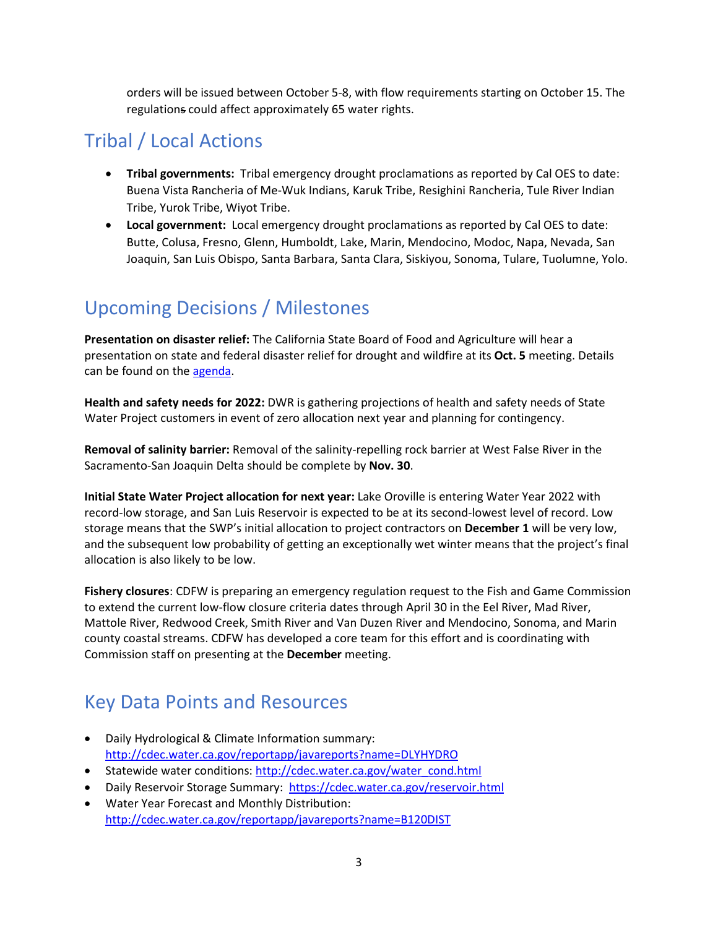orders will be issued between October 5-8, with flow requirements starting on October 15. The regulations could affect approximately 65 water rights.

## Tribal / Local Actions

- **Tribal governments:** Tribal emergency drought proclamations as reported by Cal OES to date: Buena Vista Rancheria of Me-Wuk Indians, Karuk Tribe, Resighini Rancheria, Tule River Indian Tribe, Yurok Tribe, Wiyot Tribe.
- **Local government:** Local emergency drought proclamations as reported by Cal OES to date: Butte, Colusa, Fresno, Glenn, Humboldt, Lake, Marin, Mendocino, Modoc, Napa, Nevada, San Joaquin, San Luis Obispo, Santa Barbara, Santa Clara, Siskiyou, Sonoma, Tulare, Tuolumne, Yolo.

## Upcoming Decisions / Milestones

**Presentation on disaster relief:** The California State Board of Food and Agriculture will hear a presentation on state and federal disaster relief for drought and wildfire at its **Oct. 5** meeting. Details can be found on the [agenda.](https://www.cdfa.ca.gov/State_Board/pdfs/StateBoardFood&AGenda10052021.pdf)

**Health and safety needs for 2022:** DWR is gathering projections of health and safety needs of State Water Project customers in event of zero allocation next year and planning for contingency.

**Removal of salinity barrier:** Removal of the salinity-repelling rock barrier at West False River in the Sacramento-San Joaquin Delta should be complete by **Nov. 30**.

**Initial State Water Project allocation for next year:** Lake Oroville is entering Water Year 2022 with record-low storage, and San Luis Reservoir is expected to be at its second-lowest level of record. Low storage means that the SWP's initial allocation to project contractors on **December 1** will be very low, and the subsequent low probability of getting an exceptionally wet winter means that the project's final allocation is also likely to be low.

**Fishery closures**: CDFW is preparing an emergency regulation request to the Fish and Game Commission to extend the current low-flow closure criteria dates through April 30 in the Eel River, Mad River, Mattole River, Redwood Creek, Smith River and Van Duzen River and Mendocino, Sonoma, and Marin county coastal streams. CDFW has developed a core team for this effort and is coordinating with Commission staff on presenting at the **December** meeting.

# Key Data Points and Resources

- Daily Hydrological & Climate Information summary: <http://cdec.water.ca.gov/reportapp/javareports?name=DLYHYDRO>
- Statewide water conditions: [http://cdec.water.ca.gov/water\\_cond.html](http://cdec.water.ca.gov/water_cond.html)
- Daily Reservoir Storage Summary:<https://cdec.water.ca.gov/reservoir.html>
- [Water Year Forecast and Monthly Distribution:](http://cdec.water.ca.gov/reportapp/javareports?name=B120DIST) <http://cdec.water.ca.gov/reportapp/javareports?name=B120DIST>